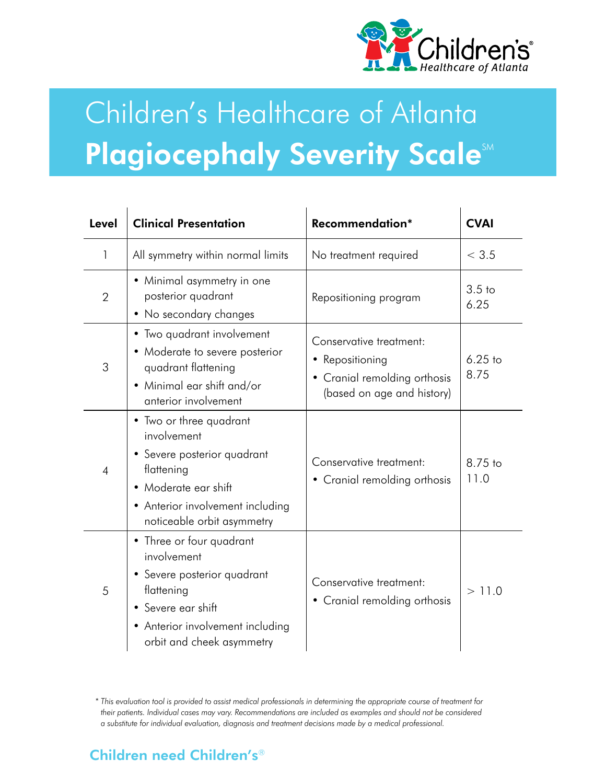

# Children's Healthcare of Atlanta **Plagiocephaly Severity ScalesM**

| Level          | <b>Clinical Presentation</b>                                                                                                                                                  | Recommendation*                                                                                          | <b>CVAI</b>               |
|----------------|-------------------------------------------------------------------------------------------------------------------------------------------------------------------------------|----------------------------------------------------------------------------------------------------------|---------------------------|
| 1              | All symmetry within normal limits                                                                                                                                             | No treatment required                                                                                    | < 3.5                     |
| $\overline{2}$ | • Minimal asymmetry in one<br>posterior quadrant<br>• No secondary changes                                                                                                    | Repositioning program                                                                                    | 3.5 <sub>to</sub><br>6.25 |
| 3              | • Two quadrant involvement<br>• Moderate to severe posterior<br>quadrant flattening<br>• Minimal ear shift and/or<br>anterior involvement                                     | Conservative treatment:<br>• Repositioning<br>• Cranial remolding orthosis<br>(based on age and history) | $6.25$ to<br>8.75         |
| $\overline{4}$ | • Two or three quadrant<br>involvement<br>• Severe posterior quadrant<br>flattening<br>• Moderate ear shift<br>• Anterior involvement including<br>noticeable orbit asymmetry | Conservative treatment:<br>Cranial remolding orthosis                                                    | 8.75 to<br>11.0           |
| 5              | • Three or four quadrant<br>involvement<br>• Severe posterior quadrant<br>flattening<br>• Severe ear shift<br>• Anterior involvement including<br>orbit and cheek asymmetry   | Conservative treatment:<br>Cranial remolding orthosis<br>٠                                               | > 11.0                    |

\* This evaluation tool is provided to assist medical professionals in determining the appropriate course of treatment for their patients. Individual cases may vary. Recommendations are included as examples and should not be considered a substitute for individual evaluation, diagnosis and treatment decisions made by a medical professional.

## **Children need Children's®**